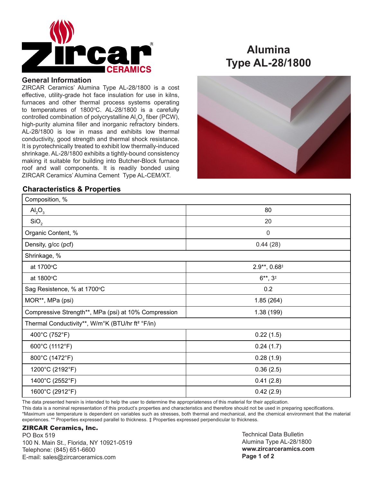

### **General Information**

ZIRCAR Ceramics' Alumina Type AL-28/1800 is a cost effective, utility-grade hot face insulation for use in kilns, furnaces and other thermal process systems operating to temperatures of 1800°C. AL-28/1800 is a carefully controlled combination of polycrystalline  $\mathsf{Al}_2\mathsf{O}_3$  fiber (PCW), high-purity alumina filler and inorganic refractory binders. AL-28/1800 is low in mass and exhibits low thermal conductivity, good strength and thermal shock resistance. It is pyrotechnically treated to exhibit low thermally-induced shrinkage. AL-28/1800 exhibits a tightly-bound consistency making it suitable for building into Butcher-Block furnace roof and wall components. It is readily bonded using ZIRCAR Ceramics' Alumina Cement Type AL-CEM/XT.

## **Characteristics & Properties**

## **Alumina Type AL-28/1800**



| Composition, %                                               |                   |
|--------------------------------------------------------------|-------------------|
| $\text{Al}_2\text{O}_3$                                      | 80                |
| SiO <sub>2</sub>                                             | 20                |
| Organic Content, %                                           | $\pmb{0}$         |
| Density, g/cc (pcf)                                          | 0.44(28)          |
| Shrinkage, %                                                 |                   |
| at 1700°C                                                    | $2.9**$ , $0.68*$ |
| at 1800°C                                                    | $6**$ , $3*$      |
| Sag Resistence, % at 1700°C                                  | 0.2               |
| MOR**, MPa (psi)                                             | 1.85(264)         |
| Compressive Strength**, MPa (psi) at 10% Compression         | 1.38 (199)        |
| Thermal Conductivity**, W/m°K (BTU/hr ft <sup>2</sup> °F/in) |                   |
| 400°C (752°F)                                                | 0.22(1.5)         |
| 600°C (1112°F)                                               | 0.24(1.7)         |
| 800°C (1472°F)                                               | 0.28(1.9)         |
| 1200°C (2192°F)                                              | 0.36(2.5)         |
| 1400°C (2552°F)                                              | 0.41(2.8)         |
| 1600°C (2912°F)                                              | 0.42(2.9)         |

The data presented herein is intended to help the user to determine the appropriateness of this material for their application.

This data is a nominal representation of this product's properties and characteristics and therefore should not be used in preparing specifications. \*Maximum use temperature is dependent on variables such as stresses, both thermal and mechanical, and the chemical environment that the material experiences. \*\* Properties expressed parallel to thickness. ‡ Properties expressed perpendicular to thickness.

#### ZIRCAR Ceramics, Inc.

PO Box 519 100 N. Main St., Florida, NY 10921-0519 Telephone: (845) 651-6600 E-mail: sales@zircarceramics.com

Technical Data Bulletin Alumina Type AL-28/1800 **www.zircarceramics.com Page 1 of 2**